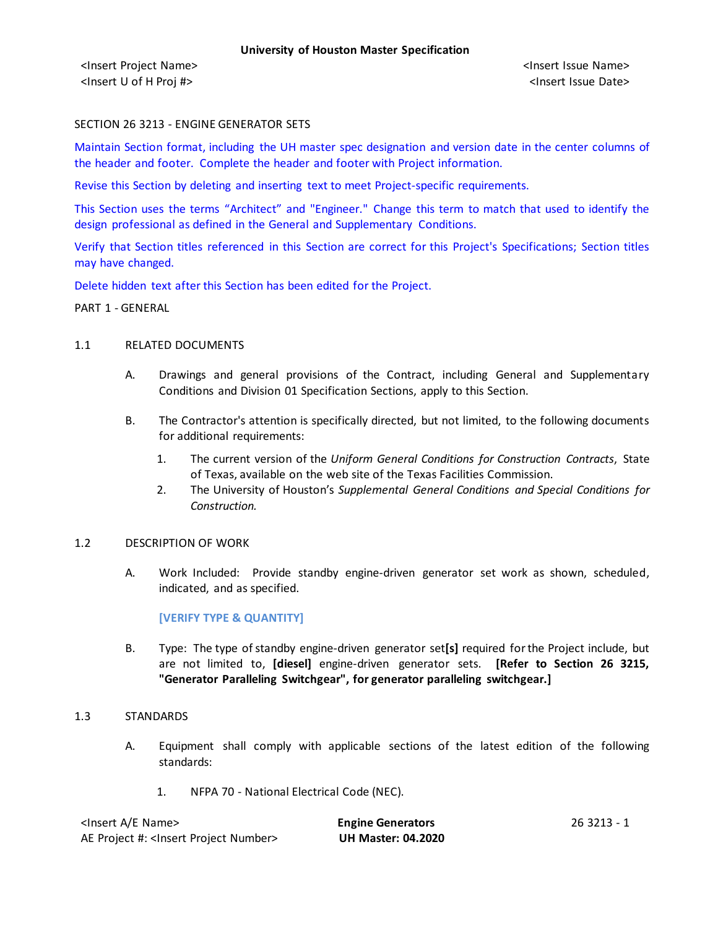### SECTION 26 3213 - ENGINE GENERATOR SETS

Maintain Section format, including the UH master spec designation and version date in the center columns of the header and footer. Complete the header and footer with Project information.

Revise this Section by deleting and inserting text to meet Project-specific requirements.

This Section uses the terms "Architect" and "Engineer." Change this term to match that used to identify the design professional as defined in the General and Supplementary Conditions.

Verify that Section titles referenced in this Section are correct for this Project's Specifications; Section titles may have changed.

Delete hidden text after this Section has been edited for the Project.

PART 1 - GENERAL

#### 1.1 RELATED DOCUMENTS

- A. Drawings and general provisions of the Contract, including General and Supplementary Conditions and Division 01 Specification Sections, apply to this Section.
- B. The Contractor's attention is specifically directed, but not limited, to the following documents for additional requirements:
	- 1. The current version of the *Uniform General Conditions for Construction Contracts*, State of Texas, available on the web site of the Texas Facilities Commission.
	- 2. The University of Houston's *Supplemental General Conditions and Special Conditions for Construction.*

#### 1.2 DESCRIPTION OF WORK

A. Work Included: Provide standby engine-driven generator set work as shown, scheduled, indicated, and as specified.

**[VERIFY TYPE & QUANTITY]**

B. Type: The type of standby engine-driven generator set**[s]** required for the Project include, but are not limited to, **[diesel]** engine-driven generator sets. **[Refer to Section 26 3215, "Generator Paralleling Switchgear", for generator paralleling switchgear.]**

#### 1.3 STANDARDS

- A. Equipment shall comply with applicable sections of the latest edition of the following standards:
	- 1. NFPA 70 National Electrical Code (NEC).

| <lnsert a="" e="" name=""></lnsert>                  | <b>Engine Generators</b>  | 26 3213 - 1 |
|------------------------------------------------------|---------------------------|-------------|
| AE Project #: <lnsert number="" project=""></lnsert> | <b>UH Master: 04.2020</b> |             |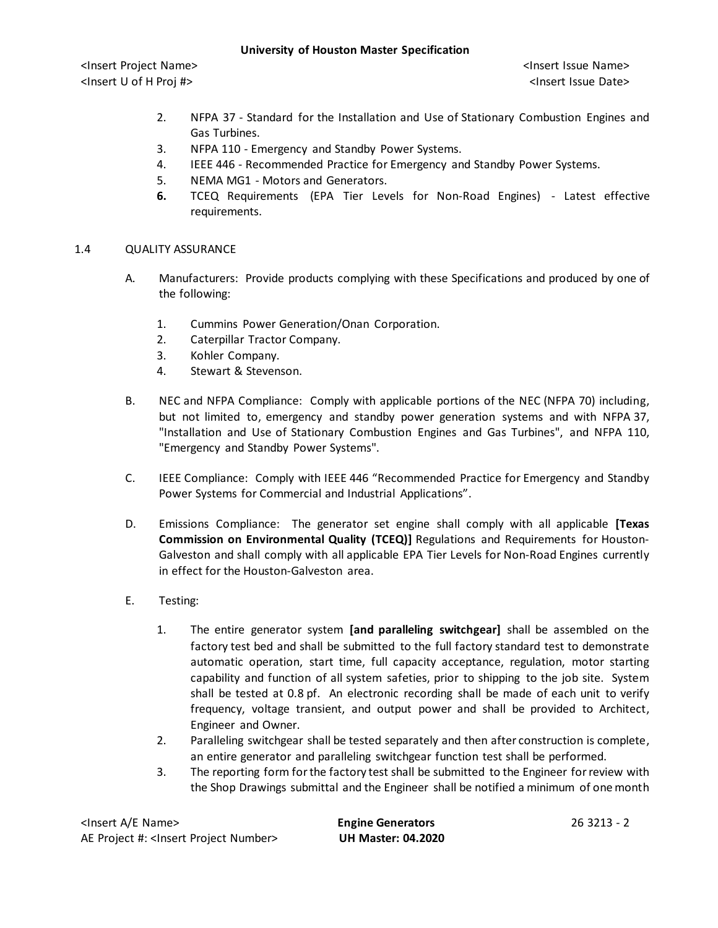## **University of Houston Master Specification**

<Insert Project Name> <Insert Issue Name> <Insert U of H Proj #> <Insert Issue Date>

- 2. NFPA 37 Standard for the Installation and Use of Stationary Combustion Engines and Gas Turbines.
- 3. NFPA 110 Emergency and Standby Power Systems.
- 4. IEEE 446 Recommended Practice for Emergency and Standby Power Systems.
- 5. NEMA MG1 Motors and Generators.
- **6.** TCEQ Requirements (EPA Tier Levels for Non-Road Engines) Latest effective requirements.

### 1.4 QUALITY ASSURANCE

- A. Manufacturers: Provide products complying with these Specifications and produced by one of the following:
	- 1. Cummins Power Generation/Onan Corporation.
	- 2. Caterpillar Tractor Company.
	- 3. Kohler Company.
	- 4. Stewart & Stevenson.
- B. NEC and NFPA Compliance: Comply with applicable portions of the NEC (NFPA 70) including, but not limited to, emergency and standby power generation systems and with NFPA 37, "Installation and Use of Stationary Combustion Engines and Gas Turbines", and NFPA 110, "Emergency and Standby Power Systems".
- C. IEEE Compliance: Comply with IEEE 446 "Recommended Practice for Emergency and Standby Power Systems for Commercial and Industrial Applications".
- D. Emissions Compliance: The generator set engine shall comply with all applicable **[Texas Commission on Environmental Quality (TCEQ)]** Regulations and Requirements for Houston-Galveston and shall comply with all applicable EPA Tier Levels for Non-Road Engines currently in effect for the Houston-Galveston area.
- E. Testing:
	- 1. The entire generator system **[and paralleling switchgear]** shall be assembled on the factory test bed and shall be submitted to the full factory standard test to demonstrate automatic operation, start time, full capacity acceptance, regulation, motor starting capability and function of all system safeties, prior to shipping to the job site. System shall be tested at 0.8 pf. An electronic recording shall be made of each unit to verify frequency, voltage transient, and output power and shall be provided to Architect, Engineer and Owner.
	- 2. Paralleling switchgear shall be tested separately and then after construction is complete, an entire generator and paralleling switchgear function test shall be performed.
	- 3. The reporting form for the factory test shall be submitted to the Engineer for review with the Shop Drawings submittal and the Engineer shall be notified a minimum of one month

| <insert a="" e="" name=""></insert>                  |
|------------------------------------------------------|
| AE Project #: <insert number="" project=""></insert> |

**Engine Generators** 26 3213 - 2 AE Project #: <Insert Project Number> **UH Master: 04.2020**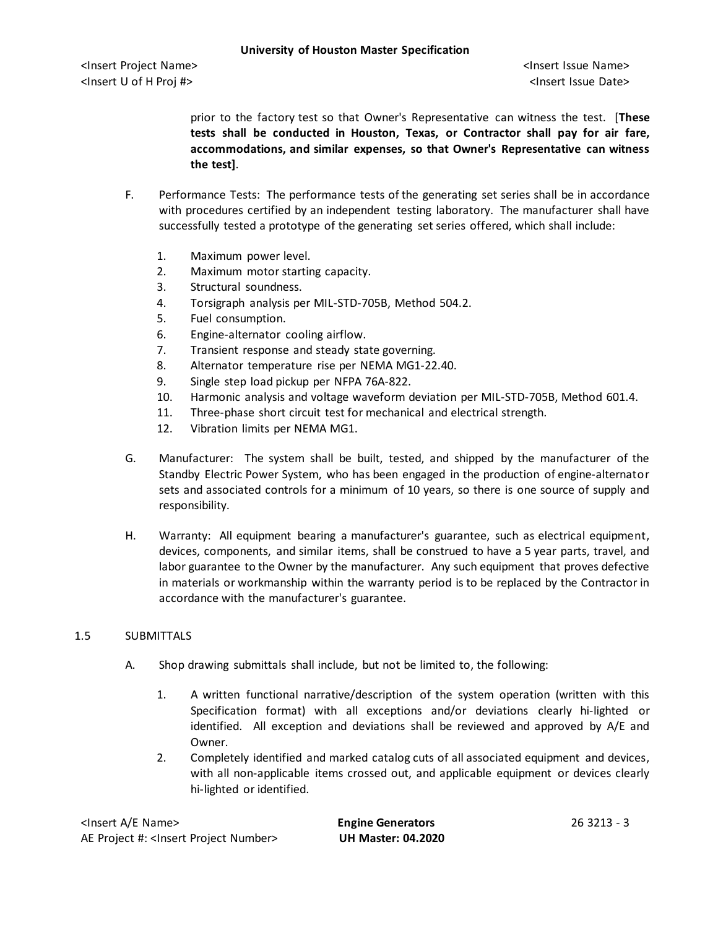prior to the factory test so that Owner's Representative can witness the test. [**These tests shall be conducted in Houston, Texas, or Contractor shall pay for air fare, accommodations, and similar expenses, so that Owner's Representative can witness the test]**.

- F. Performance Tests: The performance tests of the generating set series shall be in accordance with procedures certified by an independent testing laboratory. The manufacturer shall have successfully tested a prototype of the generating set series offered, which shall include:
	- 1. Maximum power level.
	- 2. Maximum motor starting capacity.
	- 3. Structural soundness.
	- 4. Torsigraph analysis per MIL-STD-705B, Method 504.2.
	- 5. Fuel consumption.
	- 6. Engine-alternator cooling airflow.
	- 7. Transient response and steady state governing.
	- 8. Alternator temperature rise per NEMA MG1-22.40.
	- 9. Single step load pickup per NFPA 76A-822.
	- 10. Harmonic analysis and voltage waveform deviation per MIL-STD-705B, Method 601.4.
	- 11. Three-phase short circuit test for mechanical and electrical strength.
	- 12. Vibration limits per NEMA MG1.
- G. Manufacturer: The system shall be built, tested, and shipped by the manufacturer of the Standby Electric Power System, who has been engaged in the production of engine-alternator sets and associated controls for a minimum of 10 years, so there is one source of supply and responsibility.
- H. Warranty: All equipment bearing a manufacturer's guarantee, such as electrical equipment, devices, components, and similar items, shall be construed to have a 5 year parts, travel, and labor guarantee to the Owner by the manufacturer. Any such equipment that proves defective in materials or workmanship within the warranty period is to be replaced by the Contractor in accordance with the manufacturer's guarantee.

## 1.5 SUBMITTALS

- A. Shop drawing submittals shall include, but not be limited to, the following:
	- 1. A written functional narrative/description of the system operation (written with this Specification format) with all exceptions and/or deviations clearly hi-lighted or identified. All exception and deviations shall be reviewed and approved by A/E and Owner.
	- 2. Completely identified and marked catalog cuts of all associated equipment and devices, with all non-applicable items crossed out, and applicable equipment or devices clearly hi-lighted or identified.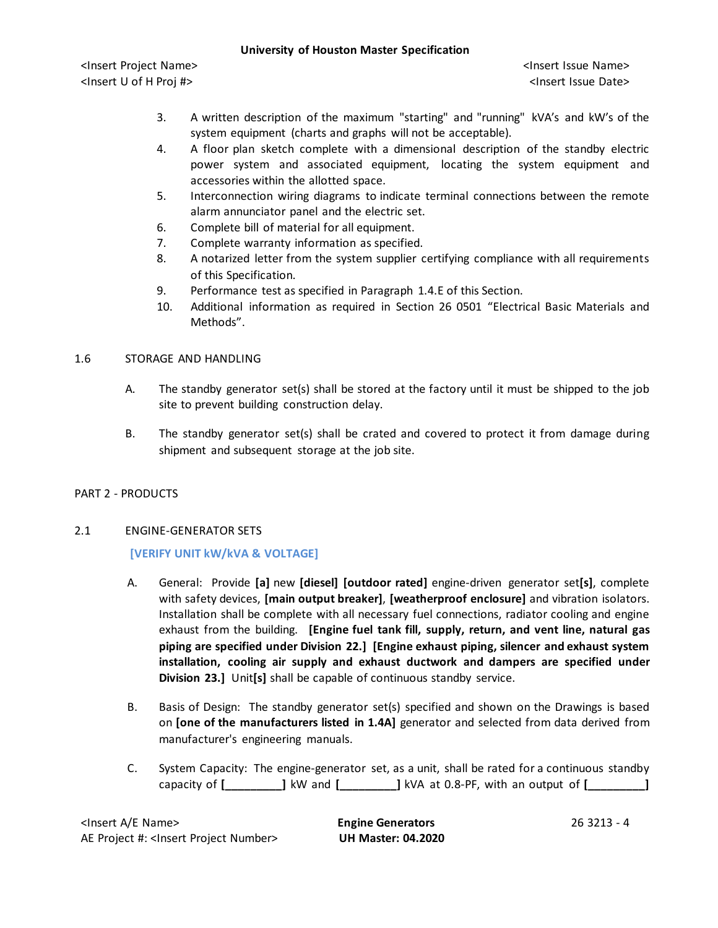## **University of Houston Master Specification**

<Insert Project Name> <Insert Issue Name> <Insert U of H Proj #> <Insert Issue Date>

- 3. A written description of the maximum "starting" and "running" kVA's and kW's of the system equipment (charts and graphs will not be acceptable).
- 4. A floor plan sketch complete with a dimensional description of the standby electric power system and associated equipment, locating the system equipment and accessories within the allotted space.
- 5. Interconnection wiring diagrams to indicate terminal connections between the remote alarm annunciator panel and the electric set.
- 6. Complete bill of material for all equipment.
- 7. Complete warranty information as specified.
- 8. A notarized letter from the system supplier certifying compliance with all requirements of this Specification.
- 9. Performance test as specified in Paragraph 1.4.E of this Section.
- 10. Additional information as required in Section 26 0501 "Electrical Basic Materials and Methods".

## 1.6 STORAGE AND HANDLING

- A. The standby generator set(s) shall be stored at the factory until it must be shipped to the job site to prevent building construction delay.
- B. The standby generator set(s) shall be crated and covered to protect it from damage during shipment and subsequent storage at the job site.

# PART 2 - PRODUCTS

# 2.1 ENGINE-GENERATOR SETS

# **[VERIFY UNIT kW/kVA & VOLTAGE]**

- A. General: Provide **[a]** new **[diesel] [outdoor rated]** engine-driven generator set**[s]**, complete with safety devices, **[main output breaker]**, **[weatherproof enclosure]** and vibration isolators. Installation shall be complete with all necessary fuel connections, radiator cooling and engine exhaust from the building. **[Engine fuel tank fill, supply, return, and vent line, natural gas piping are specified under Division 22.] [Engine exhaust piping, silencer and exhaust system installation, cooling air supply and exhaust ductwork and dampers are specified under Division 23.]** Unit**[s]** shall be capable of continuous standby service.
- B. Basis of Design: The standby generator set(s) specified and shown on the Drawings is based on **[one of the manufacturers listed in 1.4A]** generator and selected from data derived from manufacturer's engineering manuals.
- C. System Capacity: The engine-generator set, as a unit, shall be rated for a continuous standby capacity of **[\_\_\_\_\_\_\_\_\_]** kW and **[\_\_\_\_\_\_\_\_\_]** kVA at 0.8-PF, with an output of **[\_\_\_\_\_\_\_\_\_]**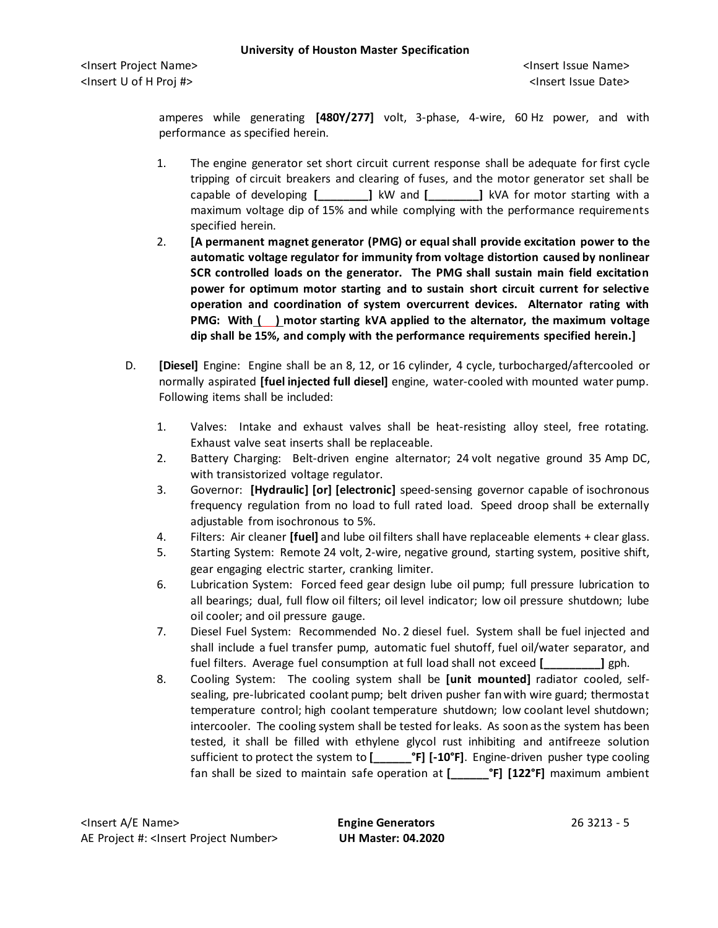amperes while generating **[480Y/277]** volt, 3-phase, 4-wire, 60 Hz power, and with performance as specified herein.

- 1. The engine generator set short circuit current response shall be adequate for first cycle tripping of circuit breakers and clearing of fuses, and the motor generator set shall be capable of developing **[\_\_\_\_\_\_\_\_]** kW and **[\_\_\_\_\_\_\_\_]** kVA for motor starting with a maximum voltage dip of 15% and while complying with the performance requirements specified herein.
- 2. **[A permanent magnet generator (PMG) or equal shall provide excitation power to the automatic voltage regulator for immunity from voltage distortion caused by nonlinear SCR controlled loads on the generator. The PMG shall sustain main field excitation power for optimum motor starting and to sustain short circuit current for selective operation and coordination of system overcurrent devices. Alternator rating with PMG: With ( ) motor starting kVA applied to the alternator, the maximum voltage dip shall be 15%, and comply with the performance requirements specified herein.]**
- D. **[Diesel]** Engine: Engine shall be an 8, 12, or 16 cylinder, 4 cycle, turbocharged/aftercooled or normally aspirated **[fuel injected full diesel]** engine, water-cooled with mounted water pump. Following items shall be included:
	- 1. Valves: Intake and exhaust valves shall be heat-resisting alloy steel, free rotating. Exhaust valve seat inserts shall be replaceable.
	- 2. Battery Charging: Belt-driven engine alternator; 24 volt negative ground 35 Amp DC, with transistorized voltage regulator.
	- 3. Governor: **[Hydraulic] [or] [electronic]** speed-sensing governor capable of isochronous frequency regulation from no load to full rated load. Speed droop shall be externally adjustable from isochronous to 5%.
	- 4. Filters: Air cleaner **[fuel]** and lube oil filters shall have replaceable elements + clear glass.
	- 5. Starting System: Remote 24 volt, 2-wire, negative ground, starting system, positive shift, gear engaging electric starter, cranking limiter.
	- 6. Lubrication System: Forced feed gear design lube oil pump; full pressure lubrication to all bearings; dual, full flow oil filters; oil level indicator; low oil pressure shutdown; lube oil cooler; and oil pressure gauge.
	- 7. Diesel Fuel System: Recommended No. 2 diesel fuel. System shall be fuel injected and shall include a fuel transfer pump, automatic fuel shutoff, fuel oil/water separator, and fuel filters. Average fuel consumption at full load shall not exceed **[\_\_\_\_\_\_\_\_\_]** gph.
	- 8. Cooling System: The cooling system shall be **[unit mounted]** radiator cooled, selfsealing, pre-lubricated coolant pump; belt driven pusher fan with wire guard; thermostat temperature control; high coolant temperature shutdown; low coolant level shutdown; intercooler. The cooling system shall be tested for leaks. As soon as the system has been tested, it shall be filled with ethylene glycol rust inhibiting and antifreeze solution sufficient to protect the system to **[\_\_\_\_\_\_°F] [-10°F]**. Engine-driven pusher type cooling fan shall be sized to maintain safe operation at **[\_\_\_\_\_\_°F] [122°F]** maximum ambient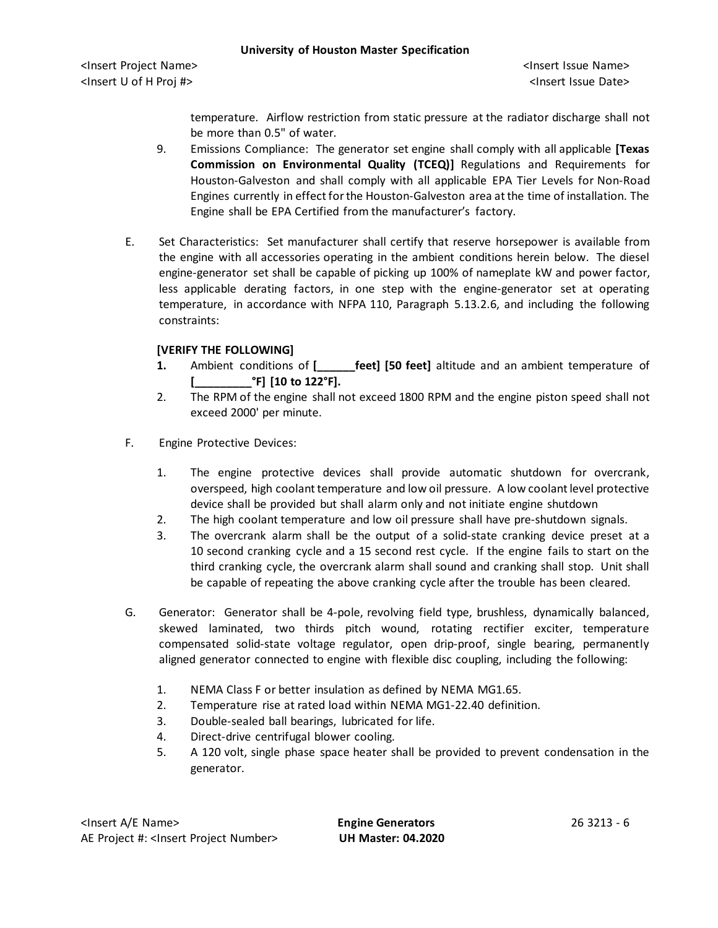temperature. Airflow restriction from static pressure at the radiator discharge shall not be more than 0.5" of water.

- 9. Emissions Compliance: The generator set engine shall comply with all applicable **[Texas Commission on Environmental Quality (TCEQ)]** Regulations and Requirements for Houston-Galveston and shall comply with all applicable EPA Tier Levels for Non-Road Engines currently in effect for the Houston-Galveston area at the time of installation. The Engine shall be EPA Certified from the manufacturer's factory.
- E. Set Characteristics: Set manufacturer shall certify that reserve horsepower is available from the engine with all accessories operating in the ambient conditions herein below. The diesel engine-generator set shall be capable of picking up 100% of nameplate kW and power factor, less applicable derating factors, in one step with the engine-generator set at operating temperature, in accordance with NFPA 110, Paragraph 5.13.2.6, and including the following constraints:

# **[VERIFY THE FOLLOWING]**

- **1.** Ambient conditions of **[\_\_\_\_\_\_feet] [50 feet]** altitude and an ambient temperature of **[\_\_\_\_\_\_\_\_\_°F] [10 to 122°F].**
- 2. The RPM of the engine shall not exceed 1800 RPM and the engine piston speed shall not exceed 2000' per minute.
- F. Engine Protective Devices:
	- 1. The engine protective devices shall provide automatic shutdown for overcrank, overspeed, high coolant temperature and low oil pressure. A low coolant level protective device shall be provided but shall alarm only and not initiate engine shutdown
	- 2. The high coolant temperature and low oil pressure shall have pre-shutdown signals.
	- 3. The overcrank alarm shall be the output of a solid-state cranking device preset at a 10 second cranking cycle and a 15 second rest cycle. If the engine fails to start on the third cranking cycle, the overcrank alarm shall sound and cranking shall stop. Unit shall be capable of repeating the above cranking cycle after the trouble has been cleared.
- G. Generator: Generator shall be 4-pole, revolving field type, brushless, dynamically balanced, skewed laminated, two thirds pitch wound, rotating rectifier exciter, temperature compensated solid-state voltage regulator, open drip-proof, single bearing, permanently aligned generator connected to engine with flexible disc coupling, including the following:
	- 1. NEMA Class F or better insulation as defined by NEMA MG1.65.
	- 2. Temperature rise at rated load within NEMA MG1-22.40 definition.
	- 3. Double-sealed ball bearings, lubricated for life.
	- 4. Direct-drive centrifugal blower cooling.
	- 5. A 120 volt, single phase space heater shall be provided to prevent condensation in the generator.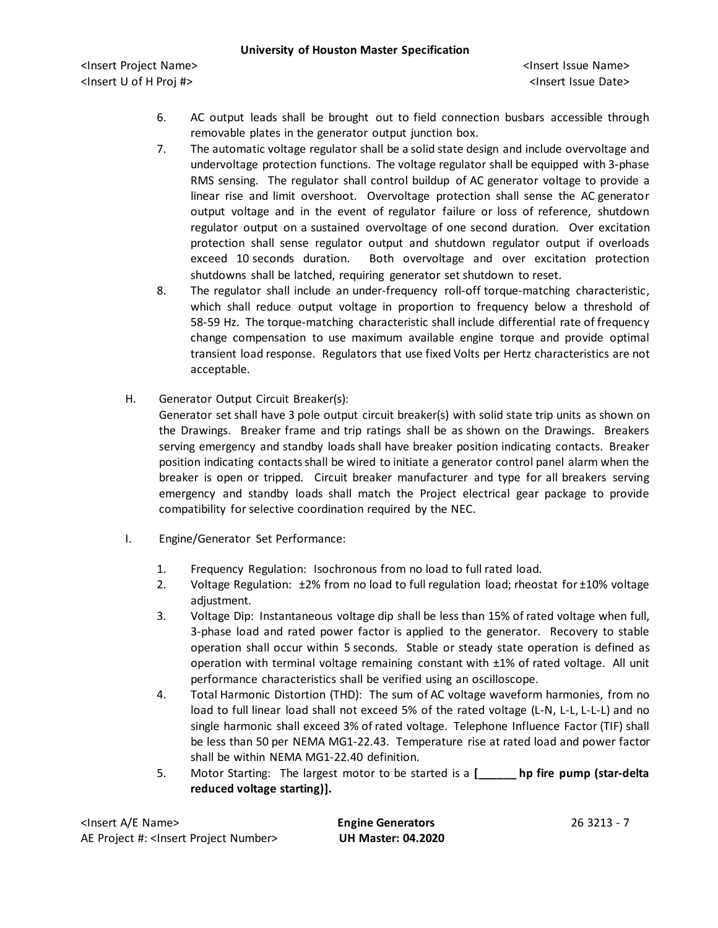- 6. AC output leads shall be brought out to field connection busbars accessible through removable plates in the generator output junction box.
- 7. The automatic voltage regulator shall be a solid state design and include overvoltage and undervoltage protection functions. The voltage regulator shall be equipped with 3-phase RMS sensing. The regulator shall control buildup of AC generator voltage to provide a linear rise and limit overshoot. Overvoltage protection shall sense the AC generator output voltage and in the event of regulator failure or loss of reference, shutdown regulator output on a sustained overvoltage of one second duration. Over excitation protection shall sense regulator output and shutdown regulator output if overloads exceed 10 seconds duration. Both overvoltage and over excitation protection shutdowns shall be latched, requiring generator set shutdown to reset.
- 8. The regulator shall include an under-frequency roll-off torque-matching characteristic, which shall reduce output voltage in proportion to frequency below a threshold of 58-59 Hz. The torque-matching characteristic shall include differential rate of frequency change compensation to use maximum available engine torque and provide optimal transient load response. Regulators that use fixed Volts per Hertz characteristics are not acceptable.
- H. Generator Output Circuit Breaker(s):

Generator set shall have 3 pole output circuit breaker(s) with solid state trip units as shown on the Drawings. Breaker frame and trip ratings shall be as shown on the Drawings. Breakers serving emergency and standby loads shall have breaker position indicating contacts. Breaker position indicating contacts shall be wired to initiate a generator control panel alarm when the breaker is open or tripped. Circuit breaker manufacturer and type for all breakers serving emergency and standby loads shall match the Project electrical gear package to provide compatibility for selective coordination required by the NEC.

- I. Engine/Generator Set Performance:
	- 1. Frequency Regulation: Isochronous from no load to full rated load.
	- 2. Voltage Regulation:  $\pm 2\%$  from no load to full regulation load; rheostat for  $\pm 10\%$  voltage adjustment.
	- 3. Voltage Dip: Instantaneous voltage dip shall be less than 15% of rated voltage when full, 3-phase load and rated power factor is applied to the generator. Recovery to stable operation shall occur within 5 seconds. Stable or steady state operation is defined as operation with terminal voltage remaining constant with ±1% of rated voltage. All unit performance characteristics shall be verified using an oscilloscope.
	- 4. Total Harmonic Distortion (THD): The sum of AC voltage waveform harmonies, from no load to full linear load shall not exceed 5% of the rated voltage (L-N, L-L, L-L-L) and no single harmonic shall exceed 3% of rated voltage. Telephone Influence Factor (TIF) shall be less than 50 per NEMA MG1-22.43. Temperature rise at rated load and power factor shall be within NEMA MG1-22.40 definition.
	- 5. Motor Starting: The largest motor to be started is a **[\_\_\_\_\_\_ hp fire pump (star-delta reduced voltage starting)].**

| <insert a="" e="" name=""></insert>                  |
|------------------------------------------------------|
| AE Project #: <insert number="" project=""></insert> |

**Engine Generators** 26 3213 - 7 AE Project #: <Insert Project Number> **UH Master: 04.2020**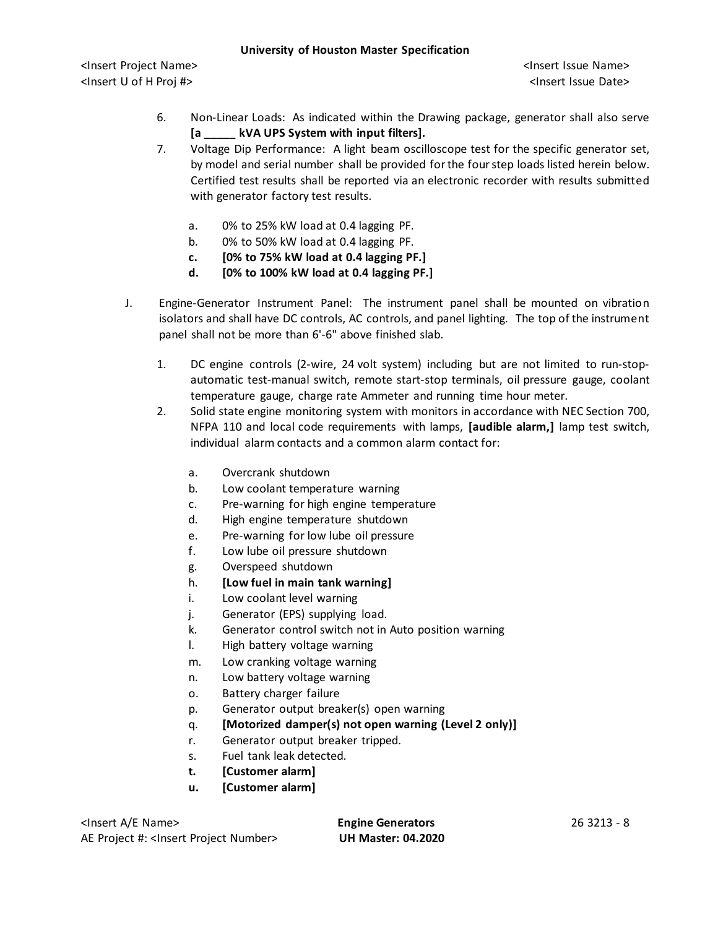- 6. Non-Linear Loads: As indicated within the Drawing package, generator shall also serve **[a \_\_\_\_\_ kVA UPS System with input filters].**
- 7. Voltage Dip Performance: A light beam oscilloscope test for the specific generator set, by model and serial number shall be provided for the fourstep loads listed herein below. Certified test results shall be reported via an electronic recorder with results submitted with generator factory test results.
	- a. 0% to 25% kW load at 0.4 lagging PF.
	- b. 0% to 50% kW load at 0.4 lagging PF.
	- **c. [0% to 75% kW load at 0.4 lagging PF.]**
	- **d. [0% to 100% kW load at 0.4 lagging PF.]**
- J. Engine-Generator Instrument Panel: The instrument panel shall be mounted on vibration isolators and shall have DC controls, AC controls, and panel lighting. The top of the instrument panel shall not be more than 6'-6" above finished slab.
	- 1. DC engine controls (2-wire, 24 volt system) including but are not limited to run-stopautomatic test-manual switch, remote start-stop terminals, oil pressure gauge, coolant temperature gauge, charge rate Ammeter and running time hour meter.
	- 2. Solid state engine monitoring system with monitors in accordance with NEC Section 700, NFPA 110 and local code requirements with lamps, **[audible alarm,]** lamp test switch, individual alarm contacts and a common alarm contact for:
		- a. Overcrank shutdown
		- b. Low coolant temperature warning
		- c. Pre-warning for high engine temperature
		- d. High engine temperature shutdown
		- e. Pre-warning for low lube oil pressure
		- f. Low lube oil pressure shutdown
		- g. Overspeed shutdown
		- h. **[Low fuel in main tank warning]**
		- i. Low coolant level warning
		- j. Generator (EPS) supplying load.
		- k. Generator control switch not in Auto position warning
		- l. High battery voltage warning
		- m. Low cranking voltage warning
		- n. Low battery voltage warning
		- o. Battery charger failure
		- p. Generator output breaker(s) open warning
		- q. **[Motorized damper(s) not open warning (Level 2 only)]**
		- r. Generator output breaker tripped.
		- s. Fuel tank leak detected.
		- **t. [Customer alarm]**
		- **u. [Customer alarm]**

<Insert A/E Name> **Engine Generators** 26 3213 - 8 AE Project #: <Insert Project Number> **UH Master: 04.2020**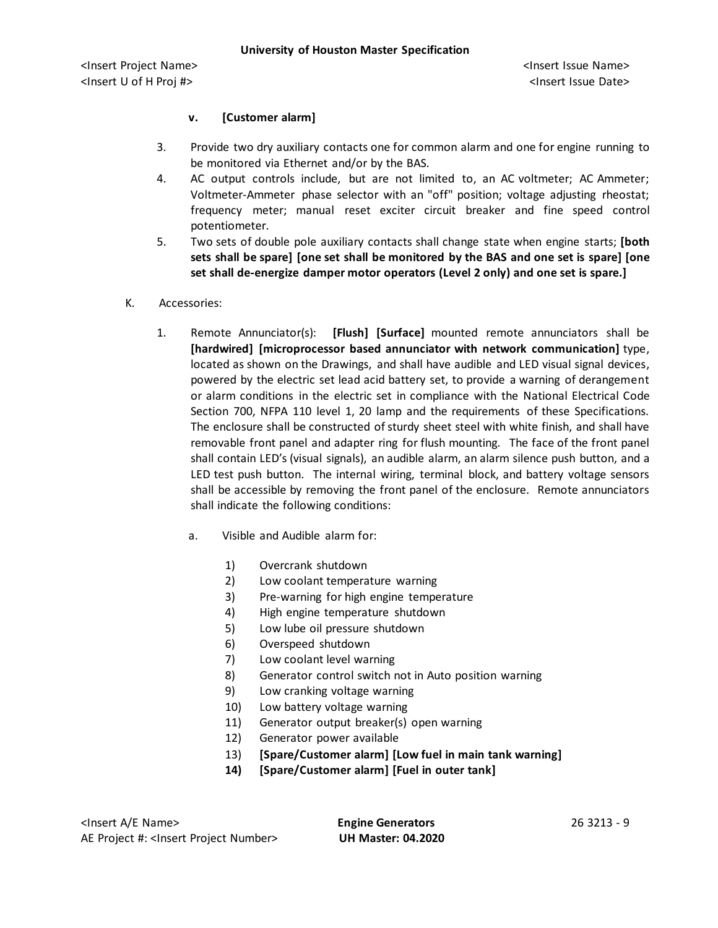## **v. [Customer alarm]**

- 3. Provide two dry auxiliary contacts one for common alarm and one for engine running to be monitored via Ethernet and/or by the BAS.
- 4. AC output controls include, but are not limited to, an AC voltmeter; AC Ammeter; Voltmeter-Ammeter phase selector with an "off" position; voltage adjusting rheostat; frequency meter; manual reset exciter circuit breaker and fine speed control potentiometer.
- 5. Two sets of double pole auxiliary contacts shall change state when engine starts; **[both sets shall be spare] [one set shall be monitored by the BAS and one set is spare] [one set shall de-energize damper motor operators (Level 2 only) and one set is spare.]**
- K. Accessories:
	- 1. Remote Annunciator(s): **[Flush] [Surface]** mounted remote annunciators shall be **[hardwired] [microprocessor based annunciator with network communication]** type, located as shown on the Drawings, and shall have audible and LED visual signal devices, powered by the electric set lead acid battery set, to provide a warning of derangement or alarm conditions in the electric set in compliance with the National Electrical Code Section 700, NFPA 110 level 1, 20 lamp and the requirements of these Specifications. The enclosure shall be constructed of sturdy sheet steel with white finish, and shall have removable front panel and adapter ring for flush mounting. The face of the front panel shall contain LED's (visual signals), an audible alarm, an alarm silence push button, and a LED test push button. The internal wiring, terminal block, and battery voltage sensors shall be accessible by removing the front panel of the enclosure. Remote annunciators shall indicate the following conditions:
		- a. Visible and Audible alarm for:
			- 1) Overcrank shutdown
			- 2) Low coolant temperature warning
			- 3) Pre-warning for high engine temperature
			- 4) High engine temperature shutdown
			- 5) Low lube oil pressure shutdown
			- 6) Overspeed shutdown
			- 7) Low coolant level warning
			- 8) Generator control switch not in Auto position warning
			- 9) Low cranking voltage warning
			- 10) Low battery voltage warning
			- 11) Generator output breaker(s) open warning
			- 12) Generator power available
			- 13) **[Spare/Customer alarm] [Low fuel in main tank warning]**
			- **14) [Spare/Customer alarm] [Fuel in outer tank]**

<Insert A/E Name> **Engine Generators** 26 3213 - 9 AE Project #: <Insert Project Number> **UH Master: 04.2020**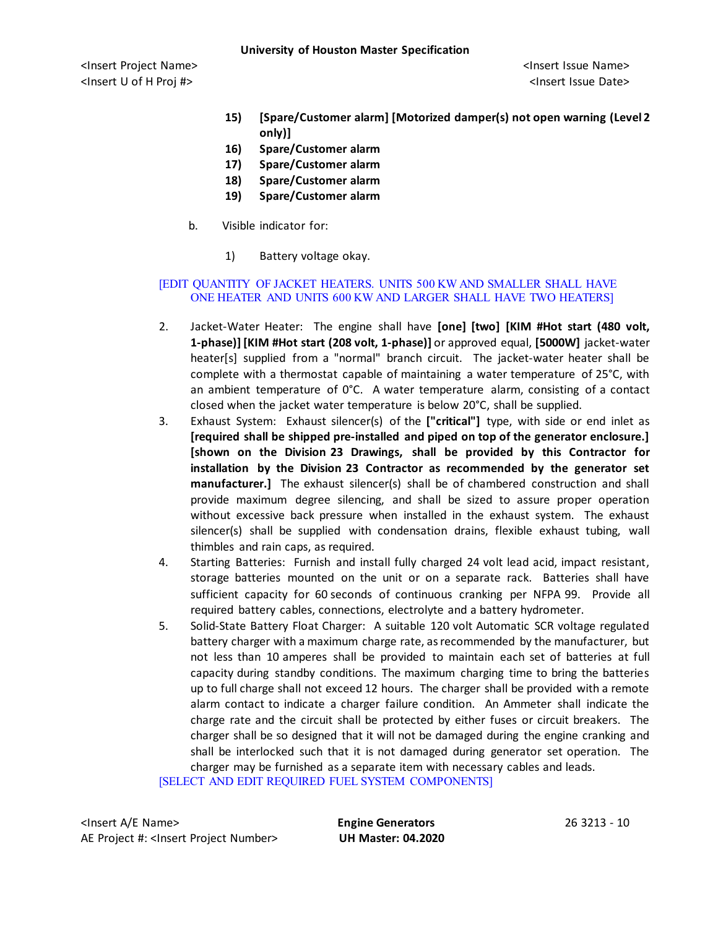**University of Houston Master Specification**

<Insert Project Name> <Insert Issue Name> <Insert U of H Proj #> <Insert Issue Date>

- **15) [Spare/Customer alarm] [Motorized damper(s) not open warning (Level 2 only)]**
- **16) Spare/Customer alarm**
- **17) Spare/Customer alarm**
- **18) Spare/Customer alarm**
- **19) Spare/Customer alarm**
- b. Visible indicator for:
	- 1) Battery voltage okay.

#### [EDIT QUANTITY OF JACKET HEATERS. UNITS 500 KW AND SMALLER SHALL HAVE ONE HEATER AND UNITS 600 KW AND LARGER SHALL HAVE TWO HEATERS]

- 2. Jacket-Water Heater: The engine shall have **[one] [two] [KIM #Hot start (480 volt, 1-phase)] [KIM #Hot start (208 volt, 1-phase)]** or approved equal, **[5000W]** jacket-water heater[s] supplied from a "normal" branch circuit. The jacket-water heater shall be complete with a thermostat capable of maintaining a water temperature of 25°C, with an ambient temperature of 0°C. A water temperature alarm, consisting of a contact closed when the jacket water temperature is below 20°C, shall be supplied.
- 3. Exhaust System: Exhaust silencer(s) of the **["critical"]** type, with side or end inlet as **[required shall be shipped pre-installed and piped on top of the generator enclosure.] [shown on the Division 23 Drawings, shall be provided by this Contractor for installation by the Division 23 Contractor as recommended by the generator set manufacturer.]** The exhaust silencer(s) shall be of chambered construction and shall provide maximum degree silencing, and shall be sized to assure proper operation without excessive back pressure when installed in the exhaust system. The exhaust silencer(s) shall be supplied with condensation drains, flexible exhaust tubing, wall thimbles and rain caps, as required.
- 4. Starting Batteries: Furnish and install fully charged 24 volt lead acid, impact resistant, storage batteries mounted on the unit or on a separate rack. Batteries shall have sufficient capacity for 60 seconds of continuous cranking per NFPA 99. Provide all required battery cables, connections, electrolyte and a battery hydrometer.
- 5. Solid-State Battery Float Charger: A suitable 120 volt Automatic SCR voltage regulated battery charger with a maximum charge rate, as recommended by the manufacturer, but not less than 10 amperes shall be provided to maintain each set of batteries at full capacity during standby conditions. The maximum charging time to bring the batteries up to full charge shall not exceed 12 hours. The charger shall be provided with a remote alarm contact to indicate a charger failure condition. An Ammeter shall indicate the charge rate and the circuit shall be protected by either fuses or circuit breakers. The charger shall be so designed that it will not be damaged during the engine cranking and shall be interlocked such that it is not damaged during generator set operation. The charger may be furnished as a separate item with necessary cables and leads.

[SELECT AND EDIT REQUIRED FUEL SYSTEM COMPONENTS]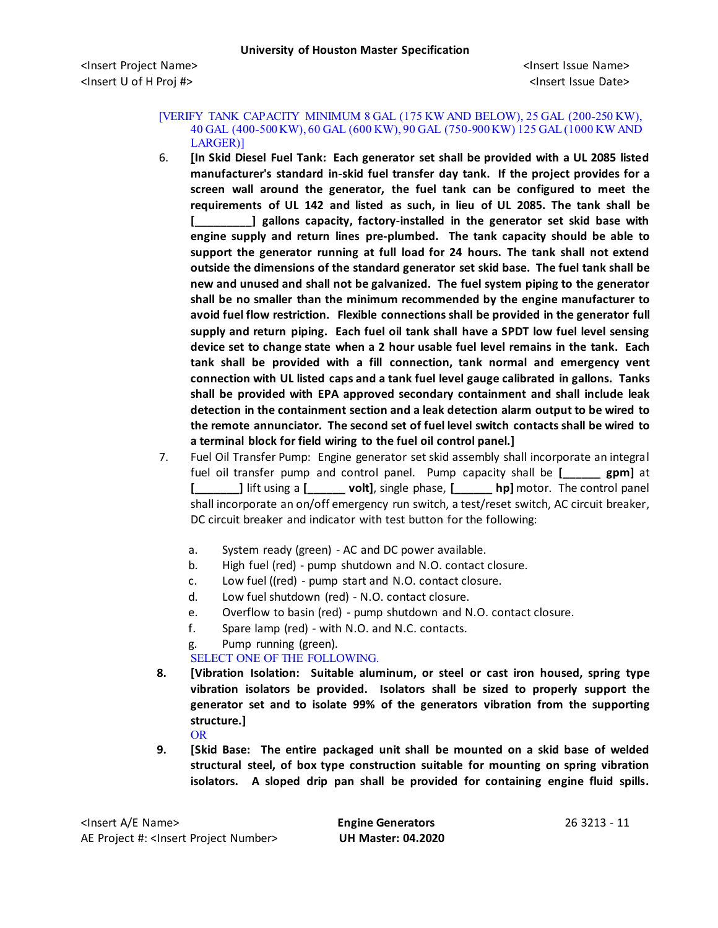#### [VERIFY TANK CAPACITY MINIMUM 8 GAL (175 KW AND BELOW), 25 GAL (200-250 KW), 40 GAL (400-500 KW), 60 GAL (600 KW), 90 GAL (750-900 KW) 125 GAL (1000 KW AND LARGER)]

- 6. **[In Skid Diesel Fuel Tank: Each generator set shall be provided with a UL 2085 listed manufacturer's standard in-skid fuel transfer day tank. If the project provides for a screen wall around the generator, the fuel tank can be configured to meet the requirements of UL 142 and listed as such, in lieu of UL 2085. The tank shall be [\_\_\_\_\_\_\_\_\_] gallons capacity, factory-installed in the generator set skid base with engine supply and return lines pre-plumbed. The tank capacity should be able to support the generator running at full load for 24 hours. The tank shall not extend outside the dimensions of the standard generator set skid base. The fuel tank shall be new and unused and shall not be galvanized. The fuel system piping to the generator shall be no smaller than the minimum recommended by the engine manufacturer to avoid fuel flow restriction. Flexible connections shall be provided in the generator full supply and return piping. Each fuel oil tank shall have a SPDT low fuel level sensing device set to change state when a 2 hour usable fuel level remains in the tank. Each tank shall be provided with a fill connection, tank normal and emergency vent connection with UL listed caps and a tank fuel level gauge calibrated in gallons. Tanks shall be provided with EPA approved secondary containment and shall include leak detection in the containment section and a leak detection alarm output to be wired to the remote annunciator. The second set of fuel level switch contacts shall be wired to a terminal block for field wiring to the fuel oil control panel.]**
- 7. Fuel Oil Transfer Pump: Engine generator set skid assembly shall incorporate an integral fuel oil transfer pump and control panel. Pump capacity shall be **[\_\_\_\_\_\_ gpm]** at **[\_\_\_\_\_\_\_]** lift using a **[\_\_\_\_\_\_ volt]**, single phase, **[\_\_\_\_\_\_ hp]** motor. The control panel shall incorporate an on/off emergency run switch, a test/reset switch, AC circuit breaker, DC circuit breaker and indicator with test button for the following:
	- a. System ready (green) AC and DC power available.
	- b. High fuel (red) pump shutdown and N.O. contact closure.
	- c. Low fuel ((red) pump start and N.O. contact closure.
	- d. Low fuel shutdown (red) N.O. contact closure.
	- e. Overflow to basin (red) pump shutdown and N.O. contact closure.
	- f. Spare lamp (red) with N.O. and N.C. contacts.
	- g. Pump running (green).
	- SELECT ONE OF THE FOLLOWING.
- **8. [Vibration Isolation: Suitable aluminum, or steel or cast iron housed, spring type vibration isolators be provided. Isolators shall be sized to properly support the generator set and to isolate 99% of the generators vibration from the supporting structure.]**
	- OR
- **9. [Skid Base: The entire packaged unit shall be mounted on a skid base of welded structural steel, of box type construction suitable for mounting on spring vibration isolators. A sloped drip pan shall be provided for containing engine fluid spills.**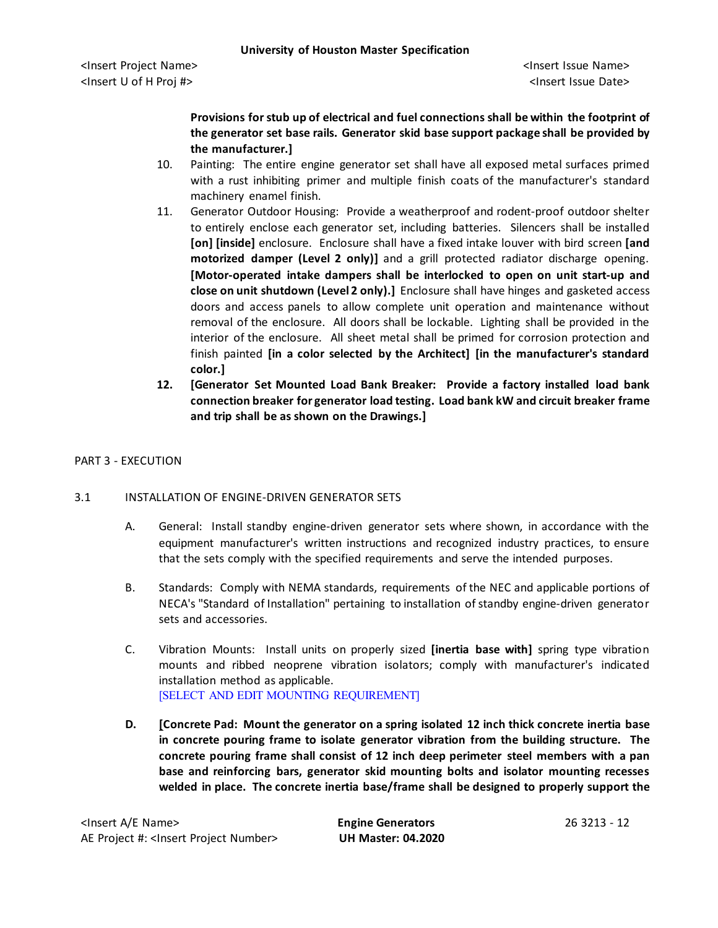**Provisions for stub up of electrical and fuel connections shall be within the footprint of the generator set base rails. Generator skid base support package shall be provided by the manufacturer.]**

- 10. Painting: The entire engine generator set shall have all exposed metal surfaces primed with a rust inhibiting primer and multiple finish coats of the manufacturer's standard machinery enamel finish.
- 11. Generator Outdoor Housing: Provide a weatherproof and rodent-proof outdoor shelter to entirely enclose each generator set, including batteries. Silencers shall be installed **[on] [inside]** enclosure. Enclosure shall have a fixed intake louver with bird screen **[and motorized damper (Level 2 only)]** and a grill protected radiator discharge opening. **[Motor-operated intake dampers shall be interlocked to open on unit start-up and close on unit shutdown (Level 2 only).]** Enclosure shall have hinges and gasketed access doors and access panels to allow complete unit operation and maintenance without removal of the enclosure. All doors shall be lockable. Lighting shall be provided in the interior of the enclosure. All sheet metal shall be primed for corrosion protection and finish painted **[in a color selected by the Architect] [in the manufacturer's standard color.]**
- **12. [Generator Set Mounted Load Bank Breaker: Provide a factory installed load bank connection breaker for generator load testing. Load bank kW and circuit breaker frame and trip shall be as shown on the Drawings.]**

## PART 3 - EXECUTION

### 3.1 INSTALLATION OF ENGINE-DRIVEN GENERATOR SETS

- A. General: Install standby engine-driven generator sets where shown, in accordance with the equipment manufacturer's written instructions and recognized industry practices, to ensure that the sets comply with the specified requirements and serve the intended purposes.
- B. Standards: Comply with NEMA standards, requirements of the NEC and applicable portions of NECA's "Standard of Installation" pertaining to installation of standby engine-driven generator sets and accessories.
- C. Vibration Mounts: Install units on properly sized **[inertia base with]** spring type vibration mounts and ribbed neoprene vibration isolators; comply with manufacturer's indicated installation method as applicable. [SELECT AND EDIT MOUNTING REQUIREMENT]
- **D. [Concrete Pad: Mount the generator on a spring isolated 12 inch thick concrete inertia base in concrete pouring frame to isolate generator vibration from the building structure. The concrete pouring frame shall consist of 12 inch deep perimeter steel members with a pan base and reinforcing bars, generator skid mounting bolts and isolator mounting recesses welded in place. The concrete inertia base/frame shall be designed to properly support the**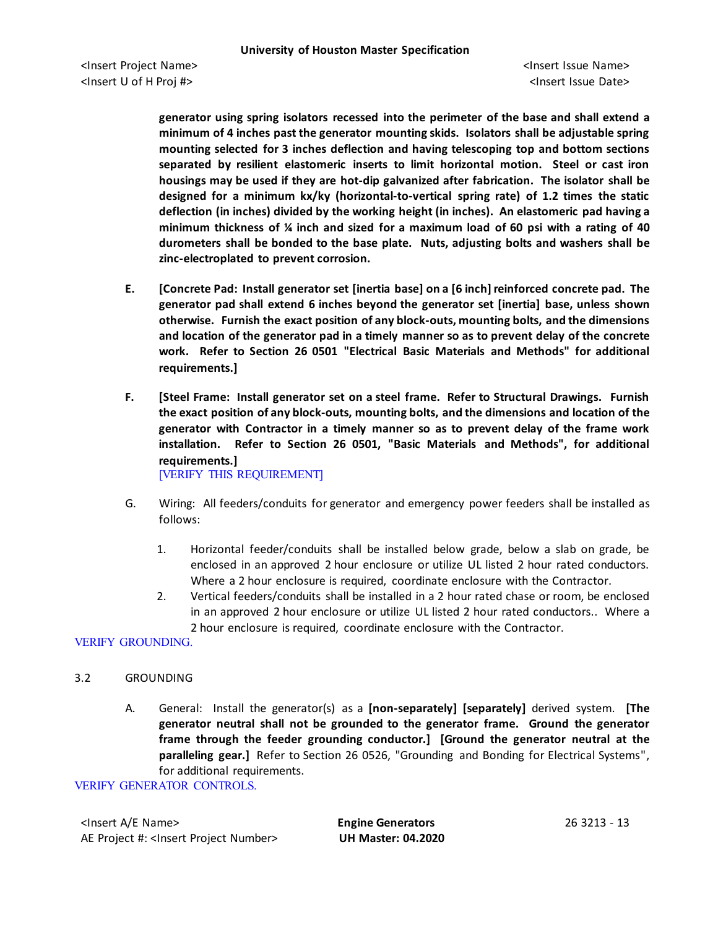**generator using spring isolators recessed into the perimeter of the base and shall extend a minimum of 4 inches past the generator mounting skids. Isolators shall be adjustable spring mounting selected for 3 inches deflection and having telescoping top and bottom sections separated by resilient elastomeric inserts to limit horizontal motion. Steel or cast iron housings may be used if they are hot-dip galvanized after fabrication. The isolator shall be designed for a minimum kx/ky (horizontal-to-vertical spring rate) of 1.2 times the static deflection (in inches) divided by the working height (in inches). An elastomeric pad having a minimum thickness of ¼ inch and sized for a maximum load of 60 psi with a rating of 40 durometers shall be bonded to the base plate. Nuts, adjusting bolts and washers shall be zinc-electroplated to prevent corrosion.**

- **E. [Concrete Pad: Install generator set [inertia base] on a [6 inch] reinforced concrete pad. The generator pad shall extend 6 inches beyond the generator set [inertia] base, unless shown otherwise. Furnish the exact position of any block-outs, mounting bolts, and the dimensions and location of the generator pad in a timely manner so as to prevent delay of the concrete work. Refer to Section 26 0501 "Electrical Basic Materials and Methods" for additional requirements.]**
- **F. [Steel Frame: Install generator set on a steel frame. Refer to Structural Drawings. Furnish the exact position of any block-outs, mounting bolts, and the dimensions and location of the generator with Contractor in a timely manner so as to prevent delay of the frame work installation. Refer to Section 26 0501, "Basic Materials and Methods", for additional requirements.]** [VERIFY THIS REQUIREMENT]
- G. Wiring: All feeders/conduits for generator and emergency power feeders shall be installed as follows:
	- 1. Horizontal feeder/conduits shall be installed below grade, below a slab on grade, be enclosed in an approved 2 hour enclosure or utilize UL listed 2 hour rated conductors. Where a 2 hour enclosure is required, coordinate enclosure with the Contractor.
	- 2. Vertical feeders/conduits shall be installed in a 2 hour rated chase or room, be enclosed in an approved 2 hour enclosure or utilize UL listed 2 hour rated conductors.. Where a 2 hour enclosure is required, coordinate enclosure with the Contractor.

VERIFY GROUNDING.

### 3.2 GROUNDING

A. General: Install the generator(s) as a **[non-separately] [separately]** derived system. **[The generator neutral shall not be grounded to the generator frame. Ground the generator frame through the feeder grounding conductor.] [Ground the generator neutral at the paralleling gear.]** Refer to Section 26 0526, "Grounding and Bonding for Electrical Systems", for additional requirements.

VERIFY GENERATOR CONTROLS.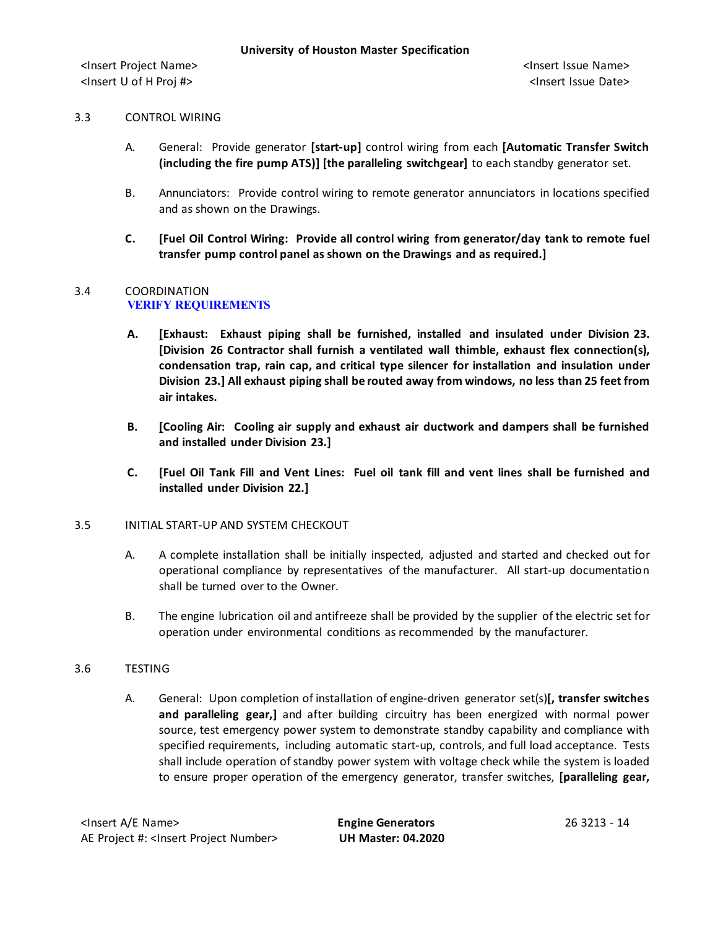## 3.3 CONTROL WIRING

- A. General: Provide generator **[start-up]** control wiring from each **[Automatic Transfer Switch (including the fire pump ATS)] [the paralleling switchgear]** to each standby generator set.
- B. Annunciators: Provide control wiring to remote generator annunciators in locations specified and as shown on the Drawings.
- **C. [Fuel Oil Control Wiring: Provide all control wiring from generator/day tank to remote fuel transfer pump control panel as shown on the Drawings and as required.]**

#### 3.4 COORDINATION **VERIFY REQUIREMENTS**

- **A. [Exhaust: Exhaust piping shall be furnished, installed and insulated under Division 23. [Division 26 Contractor shall furnish a ventilated wall thimble, exhaust flex connection(s), condensation trap, rain cap, and critical type silencer for installation and insulation under Division 23.] All exhaust piping shall be routed away from windows, no less than 25 feet from air intakes.**
- **B. [Cooling Air: Cooling air supply and exhaust air ductwork and dampers shall be furnished and installed under Division 23.]**
- **C. [Fuel Oil Tank Fill and Vent Lines: Fuel oil tank fill and vent lines shall be furnished and installed under Division 22.]**

### 3.5 INITIAL START-UP AND SYSTEM CHECKOUT

- A. A complete installation shall be initially inspected, adjusted and started and checked out for operational compliance by representatives of the manufacturer. All start-up documentation shall be turned over to the Owner.
- B. The engine lubrication oil and antifreeze shall be provided by the supplier of the electric set for operation under environmental conditions as recommended by the manufacturer.

# 3.6 TESTING

A. General: Upon completion of installation of engine-driven generator set(s)**[, transfer switches and paralleling gear,]** and after building circuitry has been energized with normal power source, test emergency power system to demonstrate standby capability and compliance with specified requirements, including automatic start-up, controls, and full load acceptance. Tests shall include operation of standby power system with voltage check while the system is loaded to ensure proper operation of the emergency generator, transfer switches, **[paralleling gear,**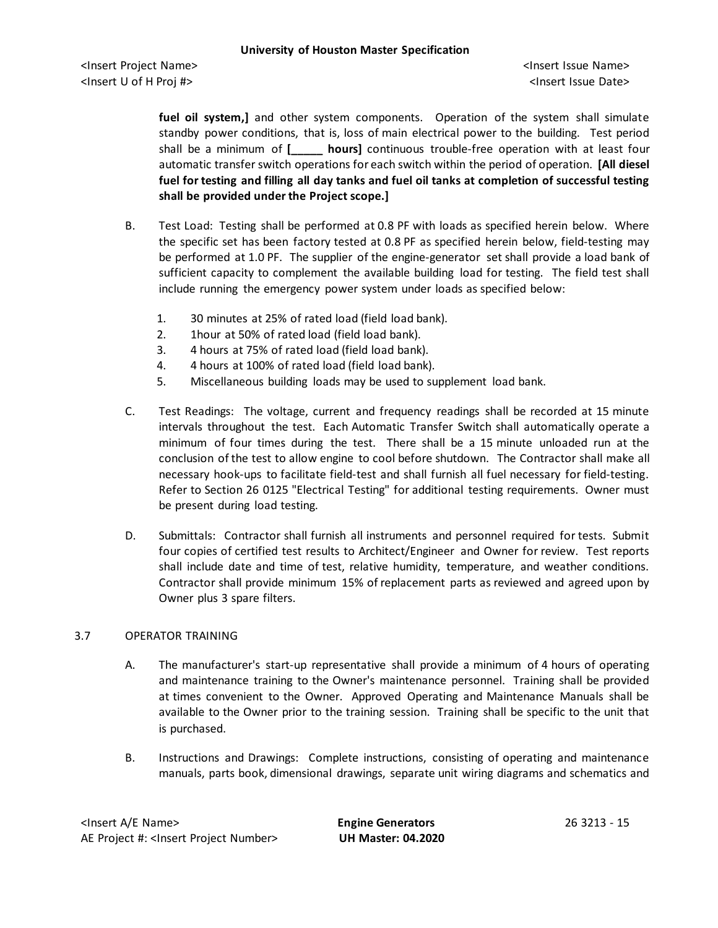**fuel oil system,]** and other system components. Operation of the system shall simulate standby power conditions, that is, loss of main electrical power to the building. Test period shall be a minimum of **[\_\_\_\_\_ hours]** continuous trouble-free operation with at least four automatic transfer switch operations for each switch within the period of operation. **[All diesel fuel for testing and filling all day tanks and fuel oil tanks at completion of successful testing shall be provided under the Project scope.]**

- B. Test Load: Testing shall be performed at 0.8 PF with loads as specified herein below. Where the specific set has been factory tested at 0.8 PF as specified herein below, field-testing may be performed at 1.0 PF. The supplier of the engine-generator set shall provide a load bank of sufficient capacity to complement the available building load for testing. The field test shall include running the emergency power system under loads as specified below:
	- 1. 30 minutes at 25% of rated load (field load bank).
	- 2. 1hour at 50% of rated load (field load bank).
	- 3. 4 hours at 75% of rated load (field load bank).
	- 4. 4 hours at 100% of rated load (field load bank).
	- 5. Miscellaneous building loads may be used to supplement load bank.
- C. Test Readings: The voltage, current and frequency readings shall be recorded at 15 minute intervals throughout the test. Each Automatic Transfer Switch shall automatically operate a minimum of four times during the test. There shall be a 15 minute unloaded run at the conclusion of the test to allow engine to cool before shutdown. The Contractor shall make all necessary hook-ups to facilitate field-test and shall furnish all fuel necessary for field-testing. Refer to Section 26 0125 "Electrical Testing" for additional testing requirements. Owner must be present during load testing.
- D. Submittals: Contractor shall furnish all instruments and personnel required for tests. Submit four copies of certified test results to Architect/Engineer and Owner for review. Test reports shall include date and time of test, relative humidity, temperature, and weather conditions. Contractor shall provide minimum 15% of replacement parts as reviewed and agreed upon by Owner plus 3 spare filters.

# 3.7 OPERATOR TRAINING

- A. The manufacturer's start-up representative shall provide a minimum of 4 hours of operating and maintenance training to the Owner's maintenance personnel. Training shall be provided at times convenient to the Owner. Approved Operating and Maintenance Manuals shall be available to the Owner prior to the training session. Training shall be specific to the unit that is purchased.
- B. Instructions and Drawings: Complete instructions, consisting of operating and maintenance manuals, parts book, dimensional drawings, separate unit wiring diagrams and schematics and